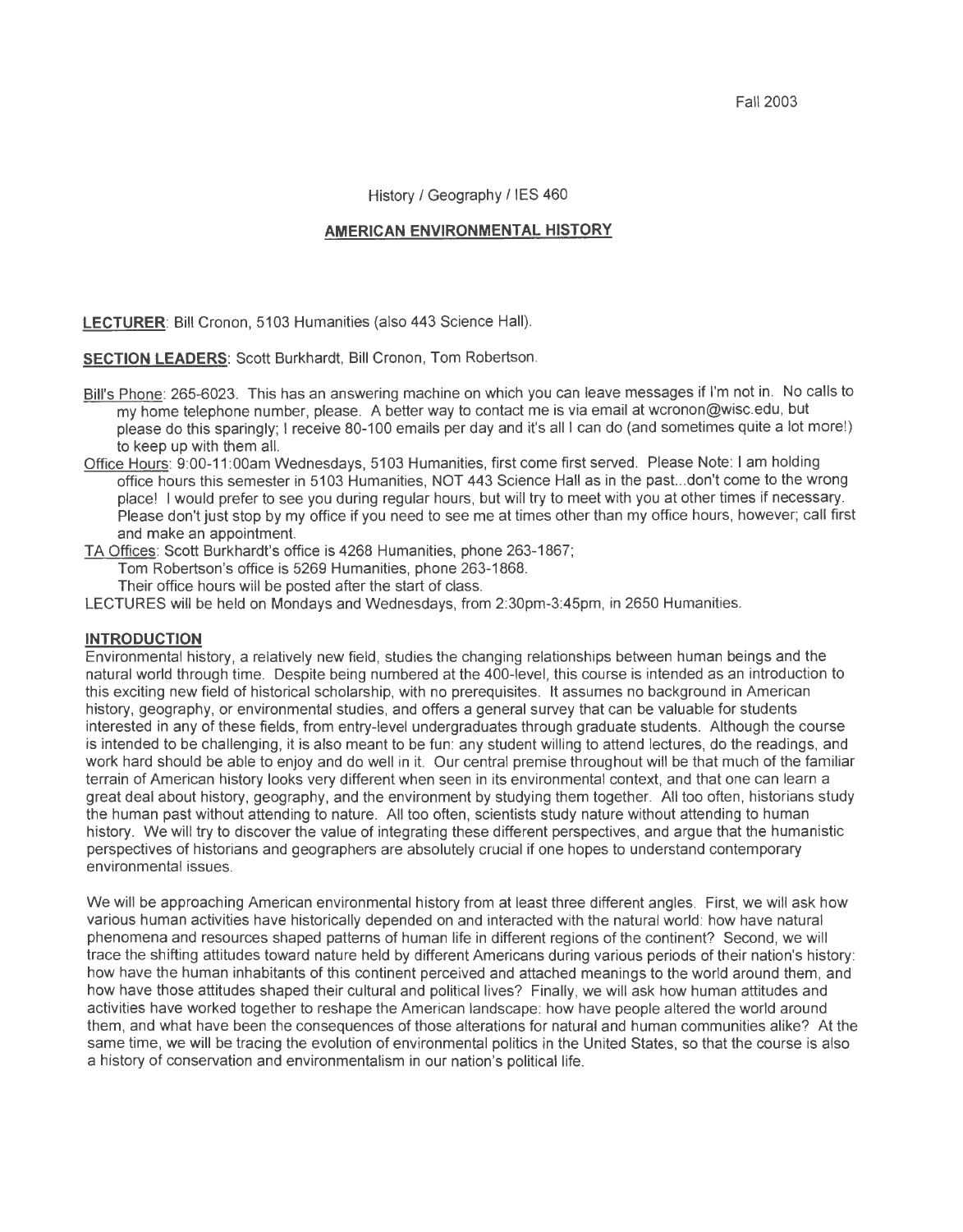Fall2003

History / Geography / IES 460

#### **AMERICAN ENVIRONMENTAL HISTORY**

LECTURER: Bill Cronon, 5103 Humanities (also 443 Science Hall).

**SECTION LEADERS: Scott Burkhardt, Bill Cronon, Tom Robertson.** 

- Bill's Phone: 265-6023. This has an answering machine on which you can leave messages if I'm not in. No calls to my home telephone number, please. A better way to contact me is via email at wcronon@wisc.edu, but please do this sparingly; I receive 80-100 emails per day and it's all I can do (and sometimes quite a lot more!) to keep up with them all.
- Office Hours: 9:00-11 :OOam Wednesdays, 5103 Humanities, first come first served. Please Note: I am holding office hours this semester in 5103 Humanities, NOT 443 Science Hall as in the past...don't come to the wrong place! I would prefer to see you during regular hours, but will try to meet with you at other times if necessary. Please don't just stop by my office if you need to see me at times other than my office hours, however; call first and make an appointment

TA Offices: Scott Burkhardt's office is 4268 Humanities, phone 263-1867;

Tom Robertson's office is 5269 Humanities, phone 263-1868.

Their office hours will be posted after the start of class.

LECTURES will be held on Mondays and Wednesdays, from 2:30pm-3:45pm, in 2650 Humanities.

#### **INTRODUCTION**

Environmental history, a relatively new field, studies the changing relationships between human beings and the natural world through time. Despite being numbered at the 400-level, this course is intended as an introduction to this exciting new field of historical scholarship, with no prerequisites. It assumes no background in American history, geography, or environmental studies, and offers a general survey that can be valuable for students interested in any of these fields, from entry-level undergraduates through graduate students. Although the course is intended to be challenging, it is also meant to be fun: any student willing to attend lectures, do the readings, and work hard should be able to enjoy and do well in it. Our central premise throughout will be that much of the familiar terrain of American history looks very different when seen in its environmental context, and that one can learn a great deal about history, geography, and the environment by studying them together. All too often, historians study the human past without attending to nature. All too often, scientists study nature without attending to human history. We will try to discover the value of integrating these different perspectives, and argue that the humanistic perspectives of historians and geographers are absolutely crucial if one hopes to understand contemporary environmental issues.

We will be approaching American environmental history from at least three different angles. First, we will ask how various human activities have historically depended on and interacted with the natural world: how have natural phenomena and resources shaped patterns of human life in different regions of the continent? Second, we will trace the shifting attitudes toward nature held by different Americans during various periods of their nation's history: how have the human inhabitants of this continent perceived and attached meanings to the world around them, and how have those attitudes shaped their cultural and political lives? Finally, we will ask how human attitudes and activities have worked together to reshape the American landscape: how have people altered the world around them, and what have been the consequences of those alterations for natural and human communities alike? At the same time, we will be tracing the evolution of environmental politics in the United States, so that the course is also a history of conservation and environmentalism in our nation's political life.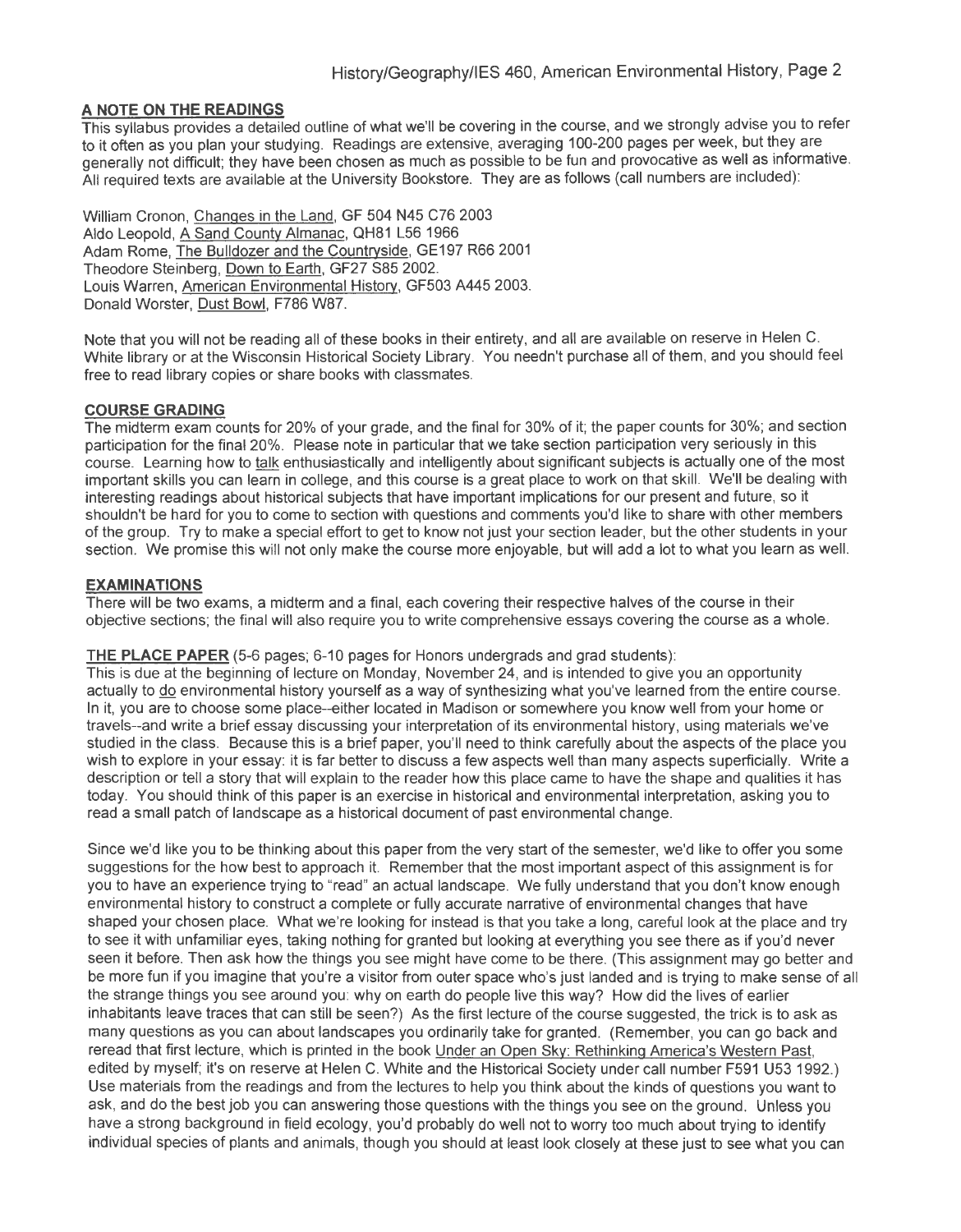## **A NOTE ON THE READINGS**

This syllabus provides a detailed outline of what we'll be covering in the course, and we strongly advise you to refer to it often as you plan your studying. Readings are extensive, averaging 100-200 pages per week, but they are generally not difficult; they have been chosen as much as possible to be fun and provocative as well as informative. All required texts are available at the University Bookstore. They are as follows (call numbers are included):

William Cronon, Changes in the Land, GF 504 N45 C76 2003 Aldo Leopold, A Sand County Almanac, QH81 L56 1966 Adam Rome, The Bulldozer and the Countrvside, GE197 R66 2001 Theodore Steinberg, Down to Earth, GF27 S85 2002. Louis Warren, American Environmental Historv, GF503 A445 2003. Donald Worster, Dust Bowl, F786 W87.

Note that you will not be reading all of these books in their entirety, and all are available on reserve in Helen C. White library or at the Wisconsin Historical Society Library. You needn't purchase all of them, and you should feel free to read library copies or share books with classmates.

#### **COURSE GRADING**

The midterm exam counts for 20% of your grade, and the final for 30% of it; the paper counts for 30%; and section participation for the final 20%. Please note in particular that we take section participation very seriously in this course. Learning how to talk enthusiastically and intelligently about significant subjects is actually one of the most important skills you can learn in college, and this course is a great place to work on that skill. We'll be dealing with interesting readings about historical subjects that have important implications for our present and future, so it shouldn't be hard for you to come to section with questions and comments you'd like to share with other members of the group. Try to make a special effort to get to know not just your section leader, but the other students in your section. We promise this will not only make the course more enjoyable, but will add a lot to what you learn as well.

#### **EXAMINATIONS**

There will be two exams, a midterm and a final, each covering their respective halves of the course in their objective sections; the final will also require you to write comprehensive essays covering the course as a whole.

#### **THE PLACE PAPER** (5-6 pages; 6-10 pages for Honors undergrads and grad students):

This is due at the beginning of lecture on Monday, November 24, and is intended to give you an opportunity actually to do environmental history yourself as a way of synthesizing what you've learned from the entire course. In it, you are to choose some place--either located in Madison or somewhere you know well from your home or travels--and write a brief essay discussing your interpretation of its environmental history, using materials we've studied in the class. Because this is a brief paper, you'll need to think carefully about the aspects of the place you wish to explore in your essay: it is far better to discuss a few aspects well than many aspects superficially. Write a description or tell a story that will explain to the reader how this place came to have the shape and qualities it has today. You should think of this paper is an exercise in historical and environmental interpretation, asking you to read a small patch of landscape as a historical document of past environmental change.

Since we'd like you to be thinking about this paper from the very start of the semester, we'd like to offer you some suggestions for the how best to approach it. Remember that the most important aspect of this assignment is for you to have an experience trying to "read" an actual landscape. We fully understand that you don't know enough environmental history to construct a complete or fully accurate narrative of environmental changes that have shaped your chosen place. What we're looking for instead is that you take a long, careful look at the place and try to see it with unfamiliar eyes, taking nothing for granted but looking at everything you see there as if you'd never seen it before. Then ask how the things you see might have come to be there. (This assignment may go better and be more fun if you imagine that you're a visitor from outer space who's just landed and is trying to make sense of all the strange things you see around you: why on earth do people live this way? How did the lives of earlier inhabitants leave traces that can still be seen?) As the first lecture of the course suggested, the trick is to ask as many questions as you can about landscapes you ordinarily take for granted. (Remember, you can go back and reread that first lecture, which is printed in the book Under an Open Sky: Rethinking America's Western Past, edited by myself; it's on reserve at Helen C. White and the Historical Society under call number F591 U53 1992.) Use materials from the readings and from the lectures to help you think about the kinds of questions you want to ask, and do the best job you can answering those questions with the things you see on the ground. Unless you have a strong background in field ecology, you'd probably do well not to worry too much about trying to identify individual species of plants and animals, though you should at least look closely at these just to see what you can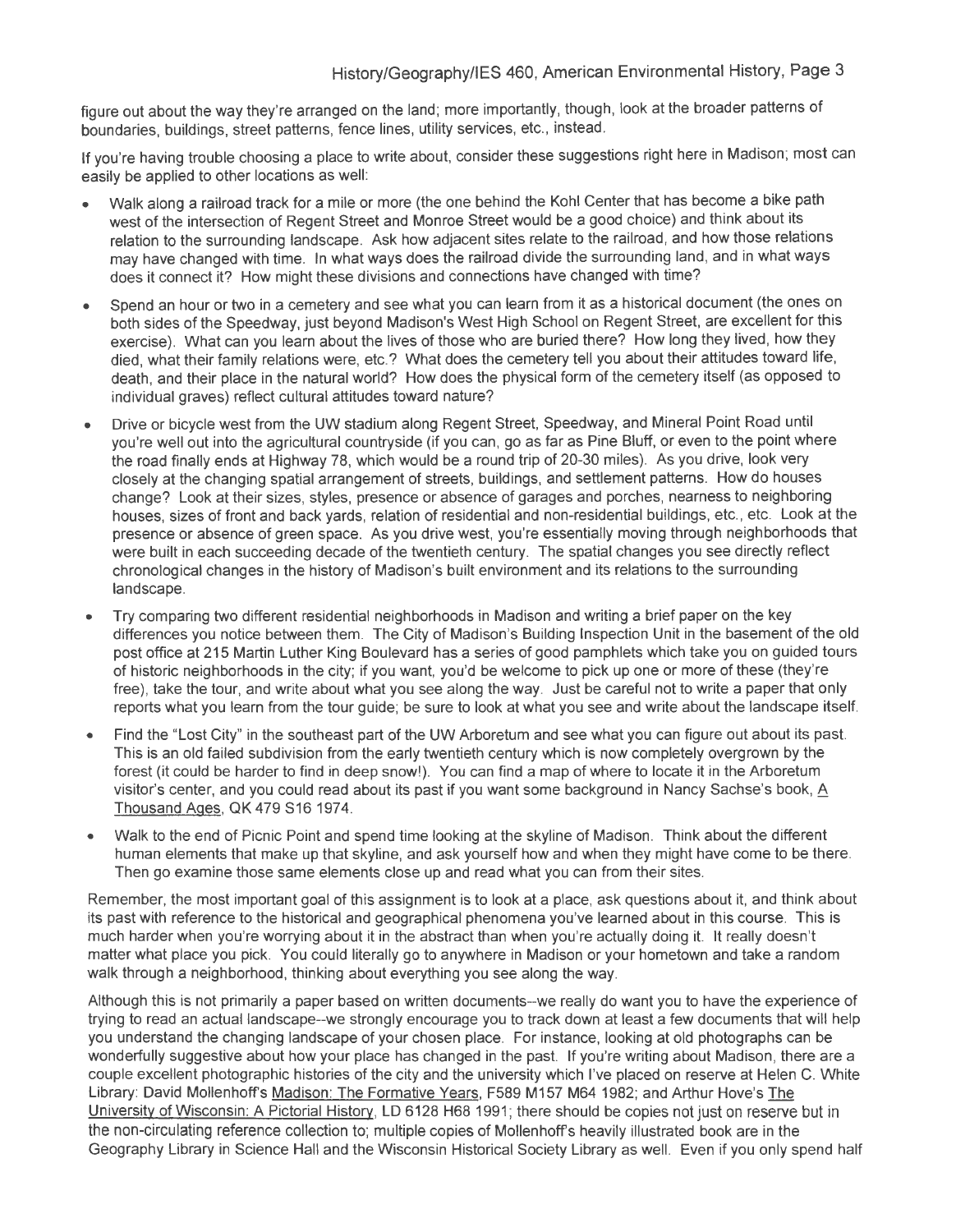figure out about the way they're arranged on the land; more importantly, though, look at the broader patterns of boundaries, buildings, street patterns, fence lines, utility services, etc., instead.

If you're having trouble choosing a place to write about, consider these suggestions right here in Madison; most can easily be applied to other locations as well:

- Walk along a railroad track for a mile or more (the one behind the Kohl Center that has become a bike path west of the intersection of Regent Street and Monroe Street would be a good choice) and think about its relation to the surrounding landscape. Ask how adjacent sites relate to the railroad, and how those relations may have changed with time. In what ways does the railroad divide the surrounding land, and in what ways does it connect it? How might these divisions and connections have changed with time?
- Spend an hour or two in a cemetery and see what you can learn from it as a historical document (the ones on both sides of the Speedway, just beyond Madison's West High School on Regent Street, are excellent for this exercise). What can you learn about the lives of those who are buried there? How long they lived, how they died, what their family relations were, etc.? What does the cemetery tell you about their attitudes toward life, death, and their place in the natural world? How does the physical form of the cemetery itself (as opposed to individual graves) reflect cultural attitudes toward nature?
- Drive or bicycle west from the UW stadium along Regent Street, Speedway, and Mineral Point Road until you're well out into the agricultural countryside (if you can, go as far as Pine Bluff, or even to the point where the road finally ends at Highway 78, which would be a round trip of 20-30 miles). As you drive, look very closely at the changing spatial arrangement of streets, buildings, and settlement patterns. How do houses change? Look at their sizes, styles, presence or absence of garages and porches, nearness to neighboring houses, sizes of front and back yards, relation of residential and non-residential buildings, etc., etc. Look at the presence or absence of green space. As you drive west, you're essentially moving through neighborhoods that were built in each succeeding decade of the twentieth century. The spatial changes you see directly reflect chronological changes in the history of Madison's built environment and its relations to the surrounding landscape.
- Try comparing two different residential neighborhoods in Madison and writing a brief paper on the key differences you notice between them. The City of Madison's Building Inspection Unit in the basement of the old post office at 215 Martin Luther King Boulevard has a series of good pamphlets which take you on guided tours of historic neighborhoods in the city; if you want, you'd be welcome to pick up one or more of these (they're free), take the tour, and write about what you see along the way. Just be careful not to write a paper that only reports what you learn from the tour guide; be sure to look at what you see and write about the landscape itself.
- Find the "Lost City" in the southeast part of the UW Arboretum and see what you can figure out about its past. This is an old failed subdivision from the early twentieth century which is now completely overgrown by the forest (it could be harder to find in deep snow!). You can find a map of where to locate it in the Arboretum visitor's center, and you could read about its past if you want some background in Nancy Sachse's book, 6 Thousand Ages, QK479 S161974.
- Walk to the end of Picnic Point and spend time looking at the skyline of Madison. Think about the different human elements that make up that skyline, and ask yourself how and when they might have come to be there. Then go examine those same elements close up and read what you can from their sites.

Remember, the most important goal of this assignment is to look at a place, ask questions about it, and think about its past with reference to the historical and geographical phenomena you've learned about in this course. This is much harder when you're worrying about it in the abstract than when you're actually doing it. It really doesn't matter what place you pick. You could literally go to anywhere in Madison or your hometown and take a random walk through a neighborhood, thinking about everything you see along the way.

Although this is not primarily a paper based on written documents--we really do want you to have the experience of trying to read an actual landscape--we strongly encourage you to track down at least a few documents that will help you understand the changing landscape of your chosen place. For instance, looking at old photographs can be wonderfully suggestive about how your place has changed in the past. If you're writing about Madison, there are a couple excellent photographic histories of the city and the university which I've placed on reserve at Helen C. White Library: David Mollenhoff's Madison: The Formative Years, F589 M157 M64 1982; and Arthur Hove's The University of Wisconsin: A Pictorial History, LD 6128 H68 1991; there should be copies not just on reserve but in the non-circulating reference collection to; multiple copies of Mollenhoff's heavily illustrated book are in the Geography Library in Science Hall and the Wisconsin Historical Society Library as well. Even if you only spend half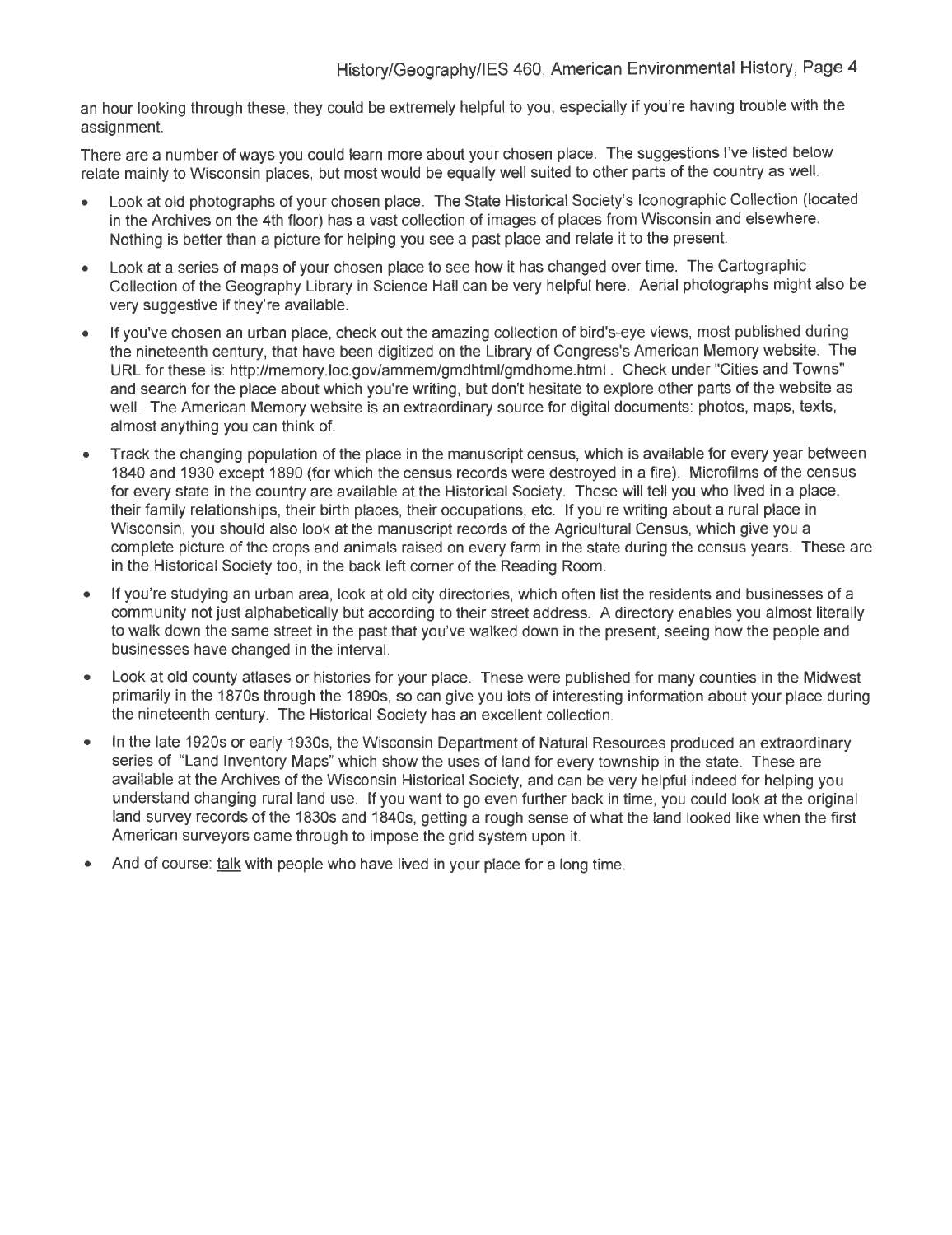an hour looking through these, they could be extremely helpful to you, especially if you're having trouble with the assignment.

There are a number of ways you could learn more about your chosen place. The suggestions I've listed below relate mainly to Wisconsin places, but most would be equally well suited to other parts of the country as well.

- Look at old photographs of your chosen place. The State Historical Society's Iconographic Collection (located in the Archives on the 4th floor) has a vast collection of images of places from Wisconsin and elsewhere. Nothing is better than a picture for helping you see a past place and relate it to the present.
- Look at a series of maps of your chosen place to see how it has changed over time. The Cartographic Collection of the Geography Library in Science Hall can be very helpful here. Aerial photographs might also be very suggestive if they're available.
- If you've chosen an urban place, check out the amazing collection of bird's-eye views, most published during the nineteenth century, that have been digitized on the Library of Congress's American Memory website. The URL for these is: http://memory.loc.gov/ammem/gmdhtml/gmdhome.html . Check under "Cities and Towns" and search for the place about which you're writing, but don't hesitate to explore other parts of the website as well. The American Memory website is an extraordinary source for digital documents: photos, maps, texts, almost anything you can think of.
- Track the changing population of the place in the manuscript census, which is available for every year between 1840 and 1930 except 1890 (for which the census records were destroyed in a fire). Microfilms of the census for every state in the country are available at the Historical Society. These will tell you who lived in a place, their family relationships, their birth places, their occupations, etc. If you're writing about a rural place in Wisconsin, you should also look at the manuscript records of the Agricultural Census, which give you a complete picture of the crops and animals raised on every farm in the state during the census years. These are in the Historical Society too, in the back left corner of the Reading Room.
- If you're studying an urban area, look at old city directories, which often list the residents and businesses of a community not just alphabetically but according to their street address. A directory enables you almost literally to walk down the same street in the past that you've walked down in the present, seeing how the people and businesses have changed in the interval.
- Look at old county atlases or histories for your place. These were published for many counties in the Midwest primarily in the 1870s through the 1890s, so can give you lots of interesting information about your place during the nineteenth century. The Historical Society has an excellent collection.
- In the late 1920s or early 1930s, the Wisconsin Department of Natural Resources produced an extraordinary series of "Land Inventory Maps" which show the uses of land for every township in the state. These are available at the Archives of the Wisconsin Historical Society, and can be very helpful indeed for helping you understand changing rural land use. If you want to go even further back in time, you could look at the original land survey records of the 1830s and 1840s, getting a rough sense of what the land looked like when the first American surveyors came through to impose the grid system upon it.
- And of course: talk with people who have lived in your place for a long time.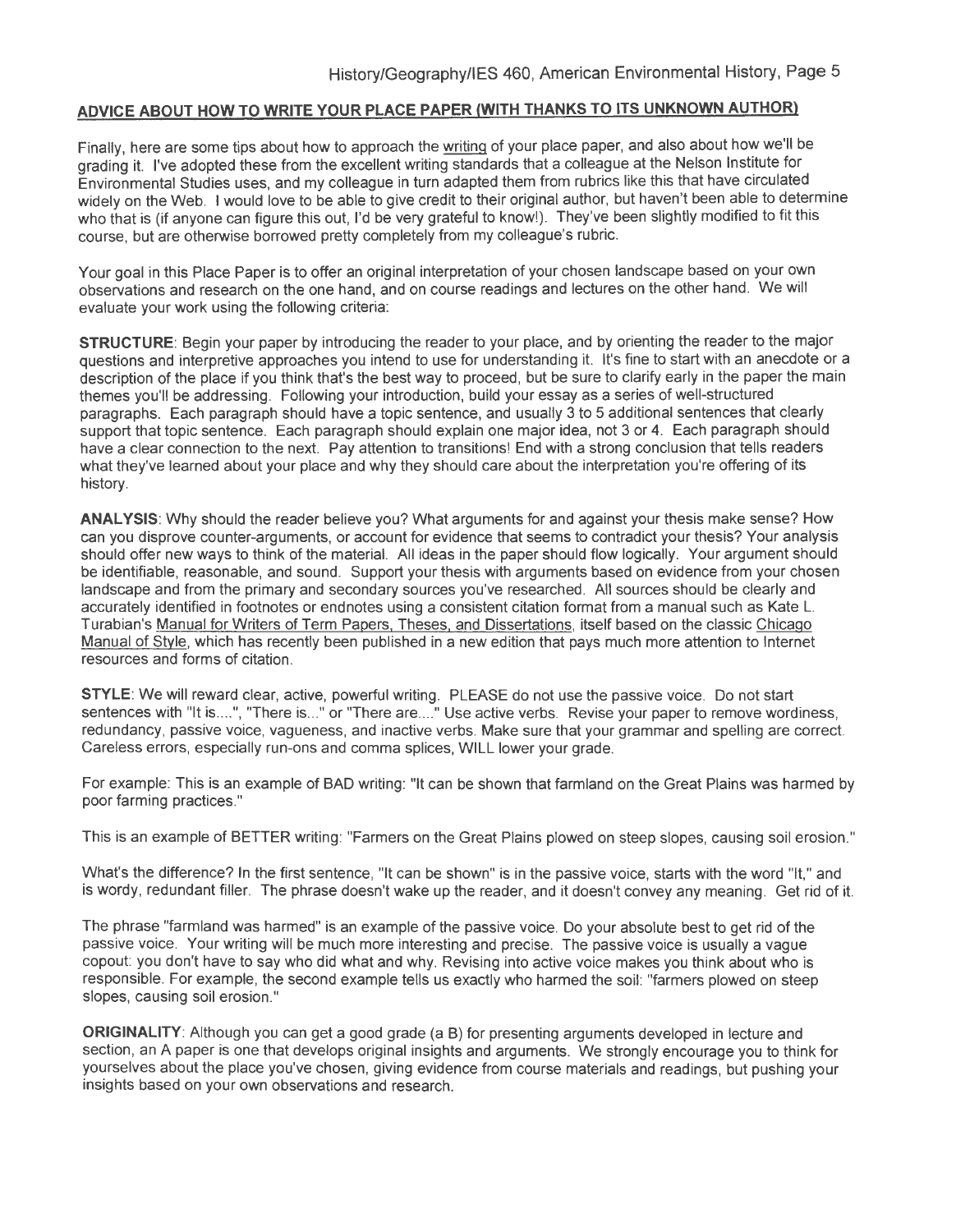# **ADVICE ABOUT HOW TO WRITE YOUR PLACE PAPER (WITH THANKS TO ITS UNKNOWN AUTHOR)**

Finally, here are some tips about how to approach the writing of your place paper, and also about how we'll be grading it. I've adopted these from the excellent writing standards that a colleague at the Nelson Institute for Environmental Studies uses, and my colleague in turn adapted them from rubrics like this that have circulated widely on the Web. 1 would love to be able to give credit to their original author, but haven't been able to determine who that is (if anyone can figure this out, I'd be very grateful to know!). They've been slightly modified to fit this course, but are otherwise borrowed pretty completely from my colleague's rubric.

Your goal in this Place Paper is to offer an original interpretation of your chosen landscape based on your own observations and research on the one hand, and on course readings and lectures on the other hand. We will evaluate your work using the following criteria:

**STRUCTURE:** Begin your paper by introducing the reader to your place, and by orienting the reader to the major questions and interpretive approaches you intend to use for understanding it. It's fine to start with an anecdote or a description of the place if you think that's the best way to proceed, but be sure to clarify early in the paper the main themes you'll be addressing. Following your introduction, build your essay as a series of well-structured paragraphs. Each paragraph should have a topic sentence, and usually 3 to 5 additional sentences that clearly support that topic sentence. Each paragraph should explain one major idea, not 3 or 4. Each paragraph should have a clear connection to the next. Pay attention to transitions! End with a strong conclusion that tells readers what they've learned about your place and why they should care about the interpretation you're offering of its history.

**ANALYSIS:** Why should the reader believe you? What arguments for and against your thesis make sense? How can you disprove counter-arguments, or account for evidence that seems to contradict your thesis? Your analysis should offer new ways to think of the material. All ideas in the paper should flow logically. Your argument should be identifiable, reasonable, and sound. Support your thesis with arguments based on evidence from your chosen landscape and from the primary and secondary sources you've researched. All sources should be clearly and accurately identified in footnotes or endnotes using a consistent citation format from a manual such as Kate L. Turabian's Manual for Writers of Term Papers, Theses, and Dissertations, itself based on the classic Chicago Manual of Style, which has recently been published in a new edition that pays much more attention to Internet resources and forms of citation.

**STYLE:** We will reward clear, active, powerful writing. PLEASE do not use the passive voice. Do not start sentences with "It is....", "There is..." or "There are...." Use active verbs. Revise your paper to remove wordiness, redundancy, passive voice, vagueness, and inactive verbs. Make sure that your grammar and spelling are correct. Careless errors, especially run-ons and comma splices, WILL lower your grade.

For example: This is an example of BAD writing: "It can be shown that farmland on the Great Plains was harmed by poor farming practices."

This is an example of BETTER writing: "Farmers on the Great Plains plowed on steep slopes, causing soil erosion."

What's the difference? In the first sentence, "It can be shown" is in the passive voice, starts with the word "It," and is wordy, redundant filler. The phrase doesn't wake up the reader, and it doesn't convey any meaning. Get rid of it.

The phrase "farmland was harmed" is an example of the passive voice. Do your absolute best to get rid of the passive voice. Your writing will be much more interesting and precise. The passive voice is usually a vague copout: you don't have to say who did what and why. Revising into active voice makes you think about who is responsible. For example, the second example tells us exactly who harmed the soil: "farmers plowed on steep slopes, causing soil erosion."

**ORIGINALITY:** Although you can get a good grade (a B) for presenting arguments developed in lecture and section, an A paper is one that develops original insights and arguments. We strongly encourage you to think for yourselves about the place you've chosen, giving evidence from course materials and readings, but pushing your insights based on your own observations and research.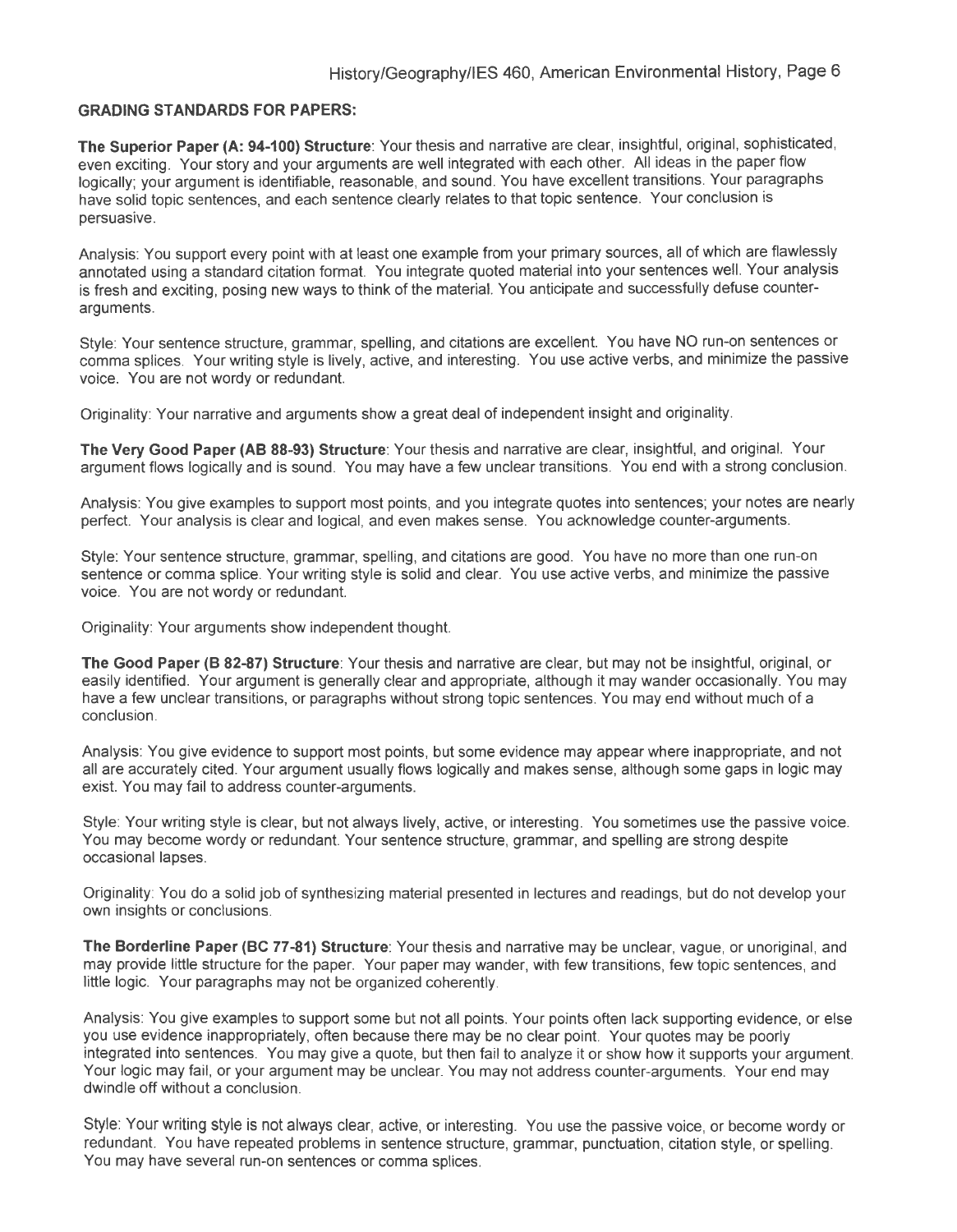#### **GRADING STANDARDS FOR PAPERS:**

**The Superior Paper (A: 94-100) Structure:** Your thesis and narrative are clear, insightful, original, sophisticated, even exciting. Your story and your arguments are well integrated with each other. All ideas in the paper flow logically; your argument is identifiable, reasonable, and sound. You have excellent transitions. Your paragraphs have solid topic sentences, and each sentence clearly relates to that topic sentence. Your conclusion is persuasive.

Analysis: You support every point with at least one example from your primary sources, all of which are flawlessly annotated using a standard citation format. You integrate quoted material into your sentences well. Your analysis is fresh and exciting, posing new ways to think of the material. You anticipate and successfully defuse counterarguments.

Style: Your sentence structure, grammar, spelling, and citations are excellent. You have NO run-on sentences or comma splices. Your writing style is lively, active, and interesting. You use active verbs, and minimize the passive voice. You are not wordy or redundant.

Originality: Your narrative and arguments show a great deal of independent insight and originality.

**The Very Good Paper (AB 88-93) Structure:** Your thesis and narrative are clear, insightful, and original. Your argument flows logically and is sound. You may have a few unclear transitions. You end with a strong conclusion.

Analysis: You give examples to support most points, and you integrate quotes into sentences; your notes are nearly perfect. Your analysis is clear and logical, and even makes sense. You acknowledge counter-arguments.

Style: Your sentence structure, grammar, spelling, and citations are good. You have no more than one run-on sentence or comma splice. Your writing style is solid and clear. You use active verbs, and minimize the passive voice. You are not wordy or redundant.

Originality: Your arguments show independent thought.

**The Good Paper (B 82-87) Structure:** Your thesis and narrative are clear, but may not be insightful, original, or easily identified. Your argument is generally clear and appropriate, although it may wander occasionally. You may have a few unclear transitions, or paragraphs without strong topic sentences. You may end without much of a conclusion.

Analysis: You give evidence to support most points, but some evidence may appear where inappropriate, and not all are accurately cited. Your argument usually flows logically and makes sense, although some gaps in logic may exist. You may fail to address counter-arguments.

Style: Your writing style is clear, but not always lively, active, or interesting. You sometimes use the passive voice. You may become wordy or redundant. Your sentence structure, grammar, and spelling are strong despite occasional lapses.

Originality: You do a solid job of synthesizing material presented in lectures and readings, but do not develop your own insights or conclusions.

**The Borderline Paper (BC 77-81) Structure:** Your thesis and narrative may be unclear, vague, or unoriginal, and may provide little structure for the paper. Your paper may wander, with few transitions, few topic sentences, and little logic. Your paragraphs may not be organized coherently.

Analysis: You give examples to support some but not all points. Your points often lack supporting evidence, or else you use evidence inappropriately, often because there may be no clear point. Your quotes may be poorly integrated into sentences. You may give a quote, but then fail to analyze it or show how it supports your argument. Your logic may fail, or your argument may be unclear. You may not address counter-arguments. Your end may dwindle off without a conclusion.

Style: Your writing style is not always clear, active, or interesting. You use the passive voice, or become wordy or redundant. You have repeated problems in sentence structure, grammar, punctuation, citation style, or spelling. You may have several run-on sentences or comma splices.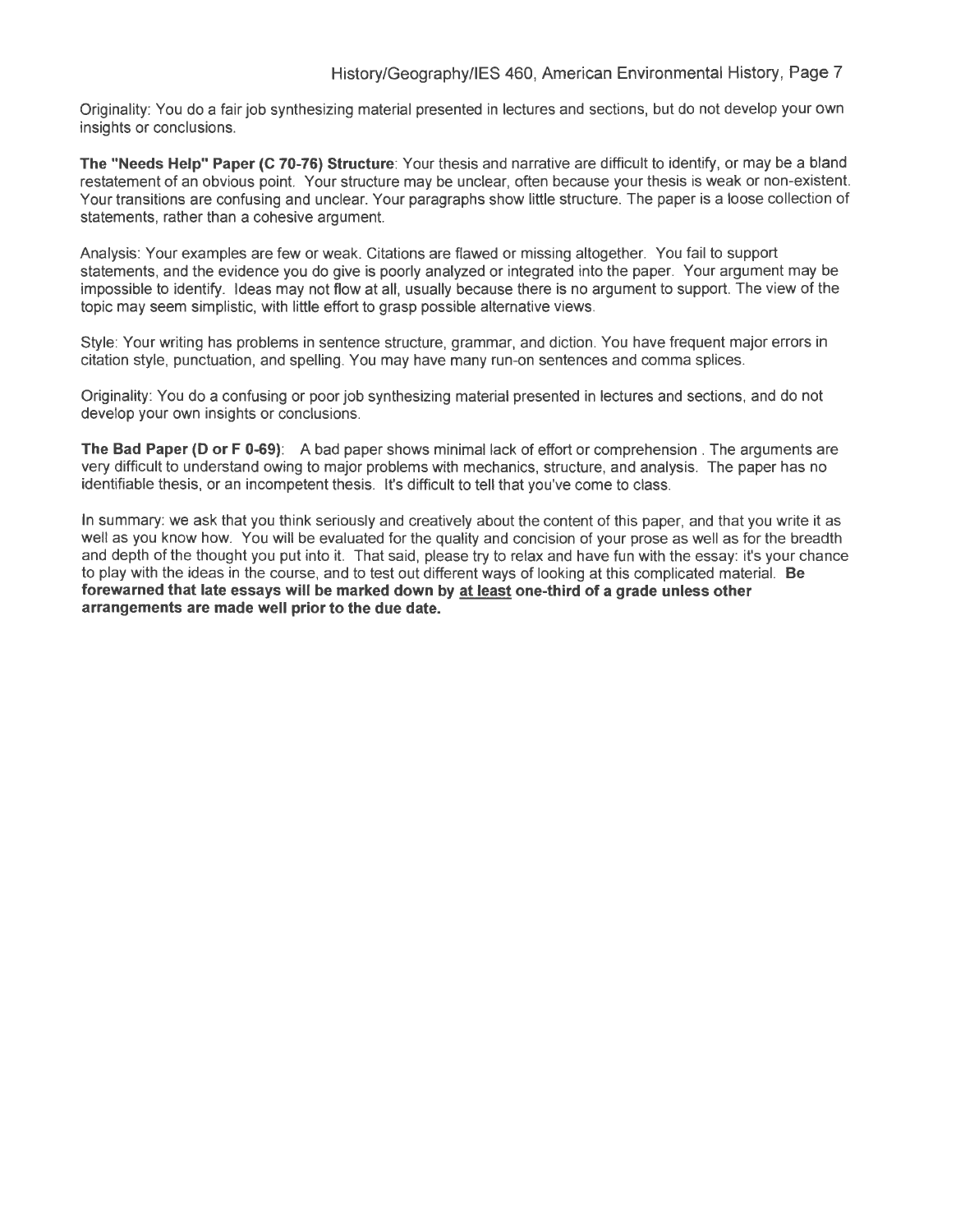Originality: You do a fair job synthesizing material presented in lectures and sections, but do not develop your own insights or conclusions.

**The "Needs Help" Paper (C 70-76) Structure:** Your thesis and narrative are difficult to identify, or may be a bland restatement of an obvious point. Your structure may be unclear, often because your thesis is weak or non-existent. Your transitions are confusing and unclear. Your paragraphs show little structure. The paper is a loose collection of statements, rather than a cohesive argument.

Analysis: Your examples are few or weak. Citations are flawed or missing altogether. You fail to support statements, and the evidence you do give is poorly analyzed or integrated into the paper. Your argument may be impossible to identify. Ideas may not flow at all, usually because there is no argument to support. The view of the topic may seem simplistic, with little effort to grasp possible alternative views.

Style: Your writing has problems in sentence structure, grammar, and diction. You have frequent major errors in citation style, punctuation, and spelling. You may have many run-on sentences and comma splices.

Originality: You do a confusing or poor job synthesizing material presented in lectures and sections, and do not develop your own insights or conclusions.

**The Bad Paper (D or F 0-69):** A bad paper shows minimal lack of effort or comprehension . The arguments are very difficult to understand owing to major problems with mechanics, structure, and analysis. The paper has no identifiable thesis, or an incompetent thesis. It's difficult to tell that you've come to class.

In summary: we ask that you think seriously and creatively about the content of this paper, and that you write it as well as you know how. You will be evaluated for the quality and concision of your prose as well as for the breadth and depth of the thought you put into it. That said, please try to relax and have fun with the essay: it's your chance to play with the ideas in the course, and to test out different ways of looking at this complicated material. **Be forewarned that late essays will be marked down by at least one-third of a grade unless other arrangements are made well prior to the due date.**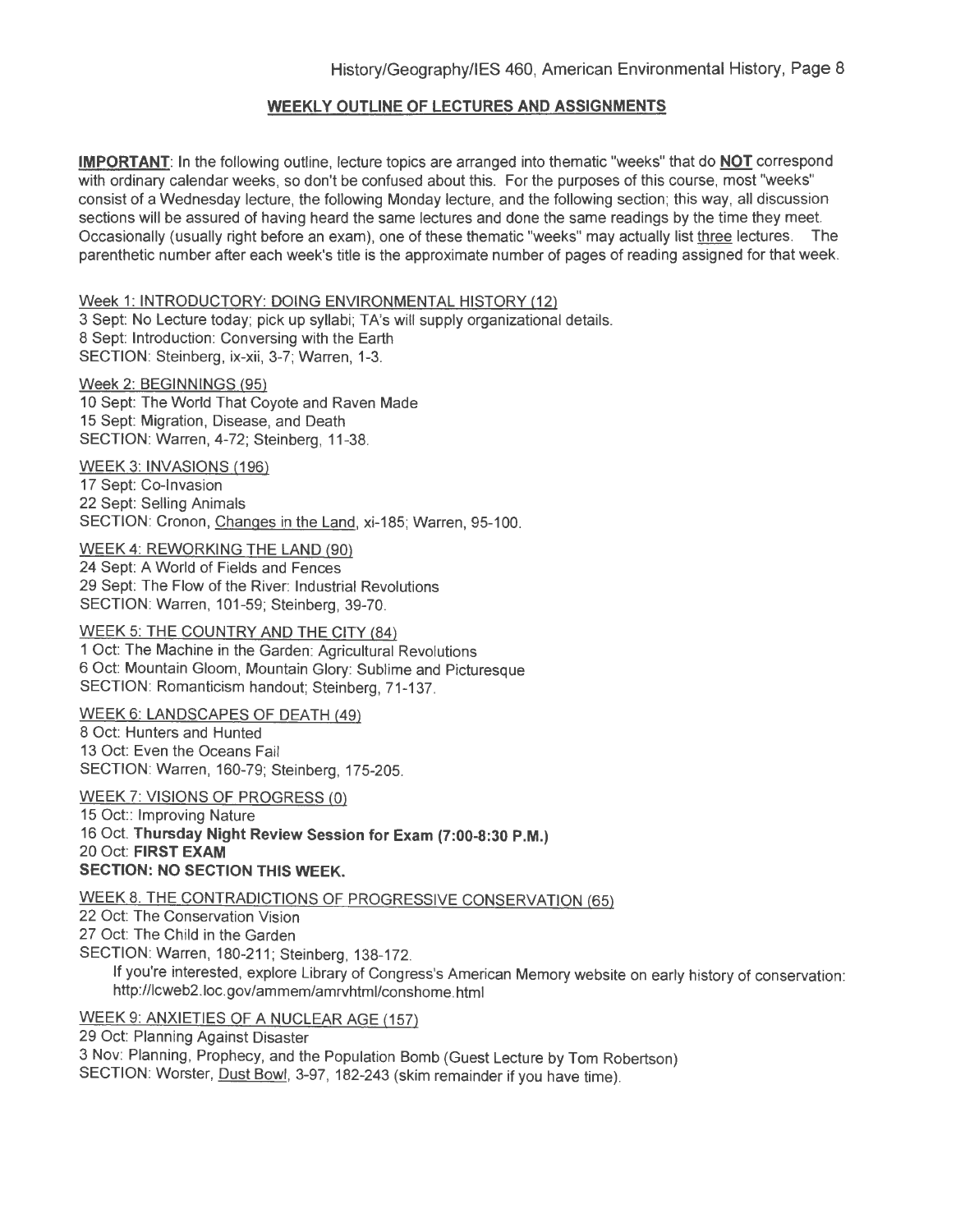# **WEEKLY OUTLINE OF LECTURES AND ASSIGNMENTS**

**IMPORTANT:** In the following outline, lecture topics are arranged into thematic "weeks" that do **NOT** correspond with ordinary calendar weeks, so don't be confused about this. For the purposes of this course, most "weeks" consist of a Wednesday lecture, the following Monday lecture, and the following section; this way, all discussion sections will be assured of having heard the same lectures and done the same readings by the time they meet. Occasionally (usually right before an exam), one of these thematic "weeks" may actually list three lectures. The parenthetic number after each week's title is the approximate number of pages of reading assigned for that week.

#### Week 1: INTRODUCTORY: DOING ENVIRONMENTAL HISTORY (12)

3 Sept: No Lecture today; pick up syllabi; TA's will supply organizational details. 8 Sept: Introduction: Conversing with the Earth SECTION: Steinberg, ix-xii, 3-7; Warren, 1-3.

Week 2: BEGINNINGS (95) 10 Sept: The World That Coyote and Raven Made 15 Sept: Migration, Disease, and Death SECTION: Warren, 4-72; Steinberg, 11-38.

WEEK 3: INVASIONS (196)

17 Sept: Co-Invasion 22 Sept: Selling Animals SECTION: Cronon, Changes in the Land, xi-185; Warren, 95-100.

WEEK 4: REWORKING THE LAND (90)

24 Sept: A World of Fields and Fences 29 Sept: The Flow of the River: Industrial Revolutions SECTION: Warren, 101-59; Steinberg, 39-70.

#### WEEK 5: THE COUNTRY AND THE CITY (84)

1 Oct: The Machine in the Garden: Agricultural Revolutions 6 Oct: Mountain Gloom, Mountain Glory: Sublime and Picturesque SECTION: Romanticism handout; Steinberg, 71-137.

# WEEK 6: LANDSCAPES OF DEATH (49)

8 Oct: Hunters and Hunted 13 Oct: Even the Oceans Fail SECTION: Warren, 160-79; Steinberg, 175-205.

WEEK 7: VISIONS OF PROGRESS (0) 15 Oct:: Improving Nature

16 Oct. **Thursday Night Review Session for Exam (7:00-8:30 P.M.)**  20 Oct: **FIRST EXAM SECTION: NO SECTION THIS WEEK.** 

## WEEK 8. THE CONTRADICTIONS OF PROGRESSIVE CONSERVATION (65)

22 Oct: The Conservation Vision

27 Oct: The Child in the Garden

SECTION: Warren, 180-211; Steinberg, 138-172.

If you're interested, explore Library of Congress's American Memory website on early history of conservation: http://lcweb2.1oc.gov/ammem/amrvhtml/conshome.html

## WEEK 9: ANXIETIES OF A NUCLEAR AGE (157)

29 Oct: Planning Against Disaster

3 Nov: Planning, Prophecy, and the Population Bomb (Guest Lecture by Tom Robertson) SECTION: Worster, Dust Bowl, 3-97, 182-243 (skim remainder if you have time).